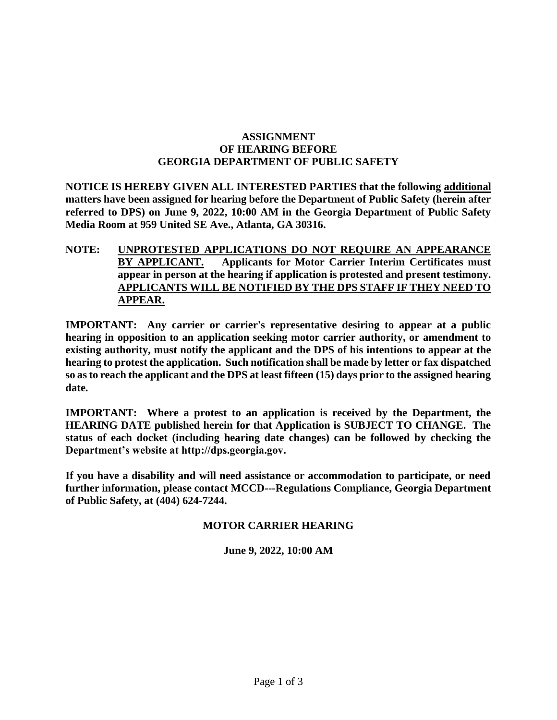## **ASSIGNMENT OF HEARING BEFORE GEORGIA DEPARTMENT OF PUBLIC SAFETY**

**NOTICE IS HEREBY GIVEN ALL INTERESTED PARTIES that the following additional matters have been assigned for hearing before the Department of Public Safety (herein after referred to DPS) on June 9, 2022, 10:00 AM in the Georgia Department of Public Safety Media Room at 959 United SE Ave., Atlanta, GA 30316.** 

**NOTE: UNPROTESTED APPLICATIONS DO NOT REQUIRE AN APPEARANCE BY APPLICANT. Applicants for Motor Carrier Interim Certificates must appear in person at the hearing if application is protested and present testimony. APPLICANTS WILL BE NOTIFIED BY THE DPS STAFF IF THEY NEED TO APPEAR.**

**IMPORTANT: Any carrier or carrier's representative desiring to appear at a public hearing in opposition to an application seeking motor carrier authority, or amendment to existing authority, must notify the applicant and the DPS of his intentions to appear at the hearing to protest the application. Such notification shall be made by letter or fax dispatched so as to reach the applicant and the DPS at least fifteen (15) days prior to the assigned hearing date.** 

**IMPORTANT: Where a protest to an application is received by the Department, the HEARING DATE published herein for that Application is SUBJECT TO CHANGE. The status of each docket (including hearing date changes) can be followed by checking the Department's website at http://dps.georgia.gov.**

**If you have a disability and will need assistance or accommodation to participate, or need further information, please contact MCCD---Regulations Compliance, Georgia Department of Public Safety, at (404) 624-7244.**

## **MOTOR CARRIER HEARING**

**June 9, 2022, 10:00 AM**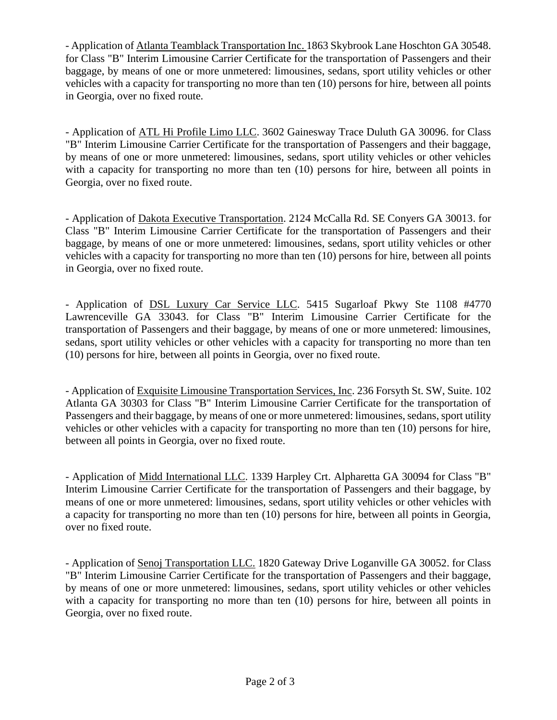- Application of Atlanta Teamblack Transportation Inc. 1863 Skybrook Lane Hoschton GA 30548. for Class "B" Interim Limousine Carrier Certificate for the transportation of Passengers and their baggage, by means of one or more unmetered: limousines, sedans, sport utility vehicles or other vehicles with a capacity for transporting no more than ten (10) persons for hire, between all points in Georgia, over no fixed route.

- Application of ATL Hi Profile Limo LLC. 3602 Gainesway Trace Duluth GA 30096. for Class "B" Interim Limousine Carrier Certificate for the transportation of Passengers and their baggage, by means of one or more unmetered: limousines, sedans, sport utility vehicles or other vehicles with a capacity for transporting no more than ten (10) persons for hire, between all points in Georgia, over no fixed route.

- Application of Dakota Executive Transportation. 2124 McCalla Rd. SE Conyers GA 30013. for Class "B" Interim Limousine Carrier Certificate for the transportation of Passengers and their baggage, by means of one or more unmetered: limousines, sedans, sport utility vehicles or other vehicles with a capacity for transporting no more than ten (10) persons for hire, between all points in Georgia, over no fixed route.

- Application of DSL Luxury Car Service LLC. 5415 Sugarloaf Pkwy Ste 1108 #4770 Lawrenceville GA 33043. for Class "B" Interim Limousine Carrier Certificate for the transportation of Passengers and their baggage, by means of one or more unmetered: limousines, sedans, sport utility vehicles or other vehicles with a capacity for transporting no more than ten (10) persons for hire, between all points in Georgia, over no fixed route.

- Application of Exquisite Limousine Transportation Services, Inc. 236 Forsyth St. SW, Suite. 102 Atlanta GA 30303 for Class "B" Interim Limousine Carrier Certificate for the transportation of Passengers and their baggage, by means of one or more unmetered: limousines, sedans, sport utility vehicles or other vehicles with a capacity for transporting no more than ten (10) persons for hire, between all points in Georgia, over no fixed route.

- Application of Midd International LLC. 1339 Harpley Crt. Alpharetta GA 30094 for Class "B" Interim Limousine Carrier Certificate for the transportation of Passengers and their baggage, by means of one or more unmetered: limousines, sedans, sport utility vehicles or other vehicles with a capacity for transporting no more than ten (10) persons for hire, between all points in Georgia, over no fixed route.

- Application of Senoj Transportation LLC. 1820 Gateway Drive Loganville GA 30052. for Class "B" Interim Limousine Carrier Certificate for the transportation of Passengers and their baggage, by means of one or more unmetered: limousines, sedans, sport utility vehicles or other vehicles with a capacity for transporting no more than ten (10) persons for hire, between all points in Georgia, over no fixed route.